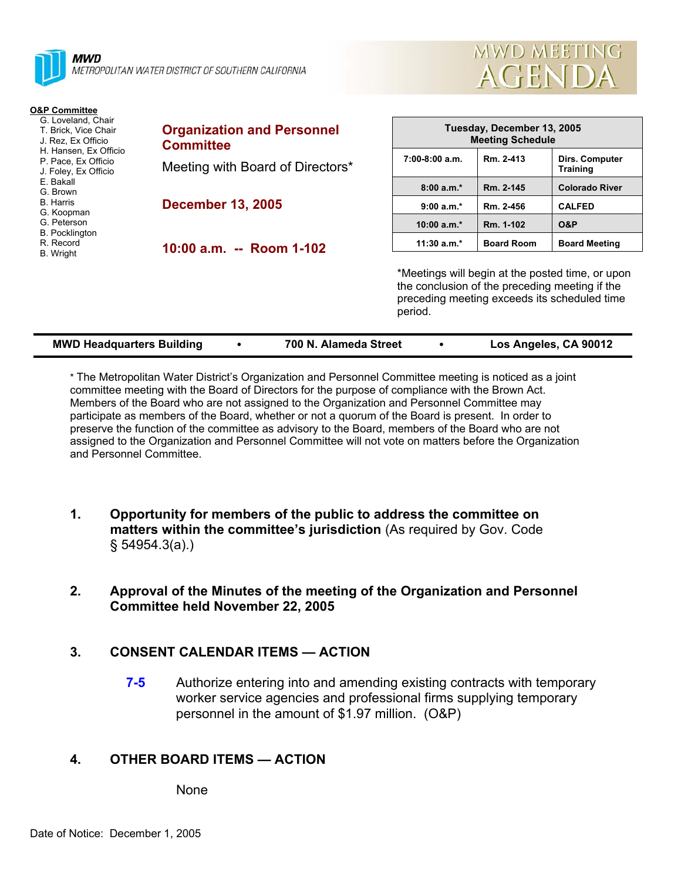



| <b>O&amp;P Committee</b><br>G. Loveland, Chair<br>T. Brick, Vice Chair<br>J. Rez. Ex Officio<br>H. Hansen, Ex Officio<br>P. Pace, Ex Officio<br>J. Foley, Ex Officio<br>E. Bakall<br>G. Brown<br><b>B.</b> Harris<br>G. Koopman<br>G. Peterson<br><b>B.</b> Pocklington<br>R. Record<br>B. Wright | <b>Organization and Personnel</b><br><b>Committee</b> |                                                                                                                                                               | Tuesday, December 13, 2005<br><b>Meeting Schedule</b> |                                   |  |
|---------------------------------------------------------------------------------------------------------------------------------------------------------------------------------------------------------------------------------------------------------------------------------------------------|-------------------------------------------------------|---------------------------------------------------------------------------------------------------------------------------------------------------------------|-------------------------------------------------------|-----------------------------------|--|
|                                                                                                                                                                                                                                                                                                   | Meeting with Board of Directors*                      | $7:00-8:00$ a.m.                                                                                                                                              | Rm. 2-413                                             | Dirs. Computer<br><b>Training</b> |  |
|                                                                                                                                                                                                                                                                                                   |                                                       | $8:00 a.m.*$                                                                                                                                                  | Rm. 2-145                                             | <b>Colorado River</b>             |  |
|                                                                                                                                                                                                                                                                                                   | <b>December 13, 2005</b><br>10:00 a.m. -- Room 1-102  | $9:00 a.m.*$                                                                                                                                                  | Rm. 2-456                                             | <b>CALFED</b>                     |  |
|                                                                                                                                                                                                                                                                                                   |                                                       | 10:00 $a.m.*$                                                                                                                                                 | Rm. 1-102                                             | O&P                               |  |
|                                                                                                                                                                                                                                                                                                   |                                                       | $11:30$ a.m.*                                                                                                                                                 | <b>Board Room</b>                                     | <b>Board Meeting</b>              |  |
|                                                                                                                                                                                                                                                                                                   |                                                       | *Meetings will begin at the posted time, or upon<br>the conclusion of the preceding meeting if the<br>preceding meeting exceeds its scheduled time<br>period. |                                                       |                                   |  |

| <b>MWD Headquarters Building</b> |  | 700 N. Alameda Street |  | Los Angeles, CA 90012 |
|----------------------------------|--|-----------------------|--|-----------------------|
|----------------------------------|--|-----------------------|--|-----------------------|

\* The Metropolitan Water District's Organization and Personnel Committee meeting is noticed as a joint committee meeting with the Board of Directors for the purpose of compliance with the Brown Act. Members of the Board who are not assigned to the Organization and Personnel Committee may participate as members of the Board, whether or not a quorum of the Board is present. In order to preserve the function of the committee as advisory to the Board, members of the Board who are not assigned to the Organization and Personnel Committee will not vote on matters before the Organization and Personnel Committee.

**1. Opportunity for members of the public to address the committee on matters within the committee's jurisdiction** (As required by Gov. Code § 54954.3(a).)

## **2. Approval of the Minutes of the meeting of the Organization and Personnel Committee held November 22, 2005**

# **3. CONSENT CALENDAR ITEMS — ACTION**

**7-5** Authorize entering into and amending existing contracts with temporary worker service agencies and professional firms supplying temporary personnel in the amount of \$1.97 million. (O&P)

# **4. OTHER BOARD ITEMS — ACTION**

None